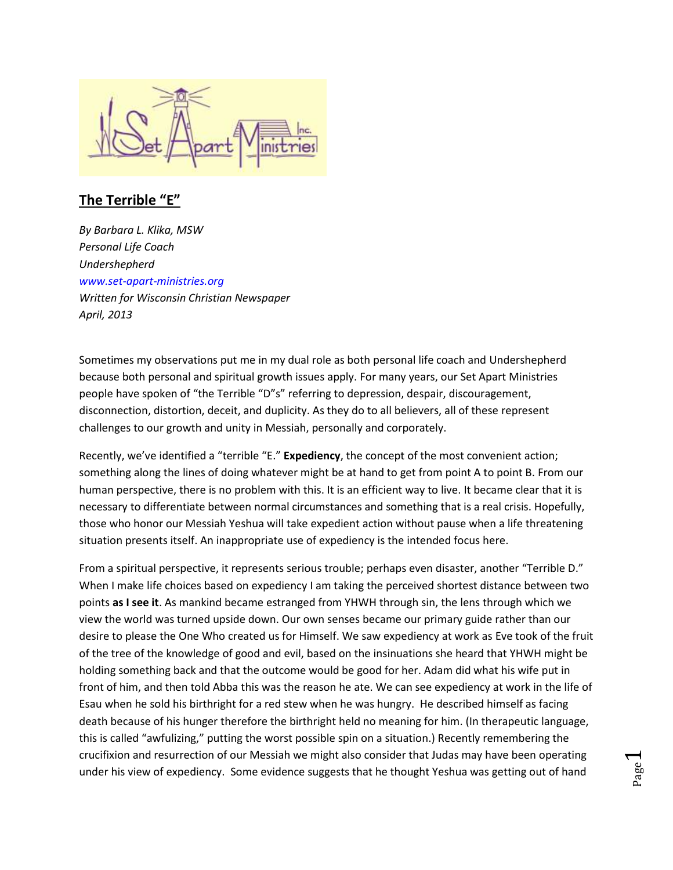

## **The Terrible "E"**

*By Barbara L. Klika, MSW Personal Life Coach Undershepherd [www.set-apart-ministries.org](http://www.set-apart-ministries.org/) Written for Wisconsin Christian Newspaper April, 2013*

Sometimes my observations put me in my dual role as both personal life coach and Undershepherd because both personal and spiritual growth issues apply. For many years, our Set Apart Ministries people have spoken of "the Terrible "D"s" referring to depression, despair, discouragement, disconnection, distortion, deceit, and duplicity. As they do to all believers, all of these represent challenges to our growth and unity in Messiah, personally and corporately.

Recently, we've identified a "terrible "E." **Expediency**, the concept of the most convenient action; something along the lines of doing whatever might be at hand to get from point A to point B. From our human perspective, there is no problem with this. It is an efficient way to live. It became clear that it is necessary to differentiate between normal circumstances and something that is a real crisis. Hopefully, those who honor our Messiah Yeshua will take expedient action without pause when a life threatening situation presents itself. An inappropriate use of expediency is the intended focus here.

From a spiritual perspective, it represents serious trouble; perhaps even disaster, another "Terrible D." When I make life choices based on expediency I am taking the perceived shortest distance between two points **as I see it**. As mankind became estranged from YHWH through sin, the lens through which we view the world was turned upside down. Our own senses became our primary guide rather than our desire to please the One Who created us for Himself. We saw expediency at work as Eve took of the fruit of the tree of the knowledge of good and evil, based on the insinuations she heard that YHWH might be holding something back and that the outcome would be good for her. Adam did what his wife put in front of him, and then told Abba this was the reason he ate. We can see expediency at work in the life of Esau when he sold his birthright for a red stew when he was hungry. He described himself as facing death because of his hunger therefore the birthright held no meaning for him. (In therapeutic language, this is called "awfulizing," putting the worst possible spin on a situation.) Recently remembering the crucifixion and resurrection of our Messiah we might also consider that Judas may have been operating under his view of expediency. Some evidence suggests that he thought Yeshua was getting out of hand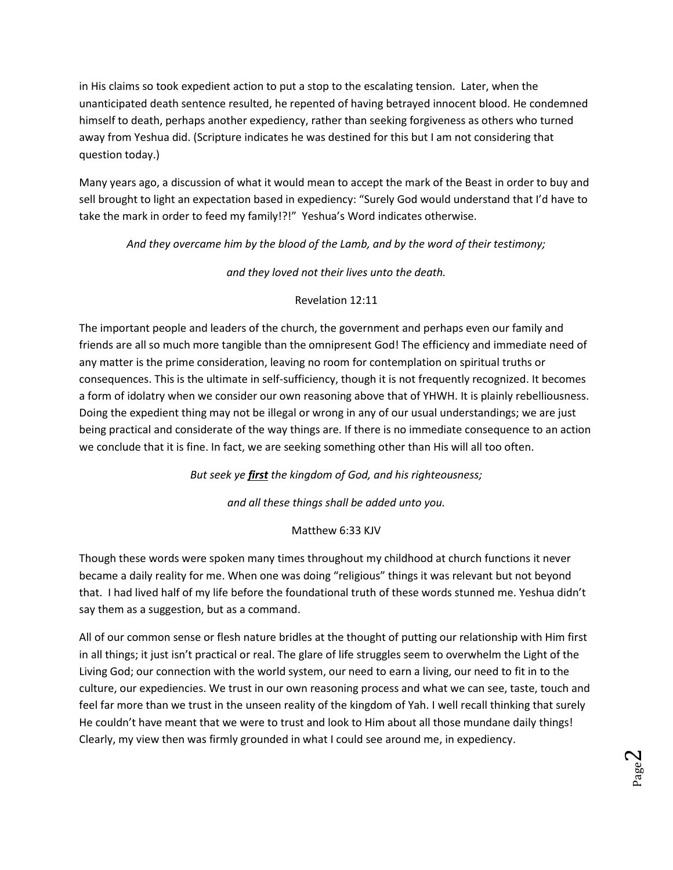in His claims so took expedient action to put a stop to the escalating tension. Later, when the unanticipated death sentence resulted, he repented of having betrayed innocent blood. He condemned himself to death, perhaps another expediency, rather than seeking forgiveness as others who turned away from Yeshua did. (Scripture indicates he was destined for this but I am not considering that question today.)

Many years ago, a discussion of what it would mean to accept the mark of the Beast in order to buy and sell brought to light an expectation based in expediency: "Surely God would understand that I'd have to take the mark in order to feed my family!?!" Yeshua's Word indicates otherwise.

*And they overcame him by the blood of the Lamb, and by the word of their testimony;* 

*and they loved not their lives unto the death.*

## Revelation 12:11

The important people and leaders of the church, the government and perhaps even our family and friends are all so much more tangible than the omnipresent God! The efficiency and immediate need of any matter is the prime consideration, leaving no room for contemplation on spiritual truths or consequences. This is the ultimate in self-sufficiency, though it is not frequently recognized. It becomes a form of idolatry when we consider our own reasoning above that of YHWH. It is plainly rebelliousness. Doing the expedient thing may not be illegal or wrong in any of our usual understandings; we are just being practical and considerate of the way things are. If there is no immediate consequence to an action we conclude that it is fine. In fact, we are seeking something other than His will all too often.

*But seek ye first the kingdom of God, and his righteousness;* 

*and all these things shall be added unto you.*

## Matthew 6:33 KJV

Though these words were spoken many times throughout my childhood at church functions it never became a daily reality for me. When one was doing "religious" things it was relevant but not beyond that. I had lived half of my life before the foundational truth of these words stunned me. Yeshua didn't say them as a suggestion, but as a command.

All of our common sense or flesh nature bridles at the thought of putting our relationship with Him first in all things; it just isn't practical or real. The glare of life struggles seem to overwhelm the Light of the Living God; our connection with the world system, our need to earn a living, our need to fit in to the culture, our expediencies. We trust in our own reasoning process and what we can see, taste, touch and feel far more than we trust in the unseen reality of the kingdom of Yah. I well recall thinking that surely He couldn't have meant that we were to trust and look to Him about all those mundane daily things! Clearly, my view then was firmly grounded in what I could see around me, in expediency.